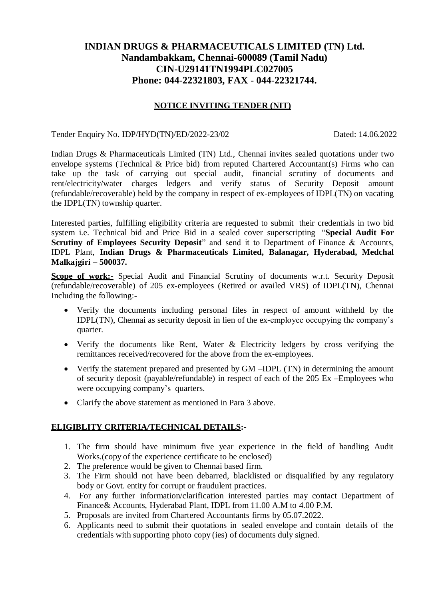# **INDIAN DRUGS & PHARMACEUTICALS LIMITED (TN) Ltd. Nandambakkam, Chennai-600089 (Tamil Nadu) CIN-U29141TN1994PLC027005 Phone: 044-22321803, FAX - 044-22321744.**

#### **NOTICE INVITING TENDER (NIT)**

Tender Enquiry No. IDP/HYD(TN)/ED/2022-23/02 Dated: 14.06.2022

Indian Drugs & Pharmaceuticals Limited (TN) Ltd., Chennai invites sealed quotations under two envelope systems (Technical & Price bid) from reputed Chartered Accountant(s) Firms who can take up the task of carrying out special audit, financial scrutiny of documents and rent/electricity/water charges ledgers and verify status of Security Deposit amount (refundable/recoverable) held by the company in respect of ex-employees of IDPL(TN) on vacating the IDPL(TN) township quarter.

Interested parties, fulfilling eligibility criteria are requested to submit their credentials in two bid system i.e. Technical bid and Price Bid in a sealed cover superscripting "**Special Audit For Scrutiny of Employees Security Deposit**" and send it to Department of Finance & Accounts, IDPL Plant, **Indian Drugs & Pharmaceuticals Limited, Balanagar, Hyderabad, Medchal Malkajgiri – 500037.**

**Scope of work:-** Special Audit and Financial Scrutiny of documents w.r.t. Security Deposit (refundable/recoverable) of 205 ex-employees (Retired or availed VRS) of IDPL(TN), Chennai Including the following:-

- Verify the documents including personal files in respect of amount withheld by the IDPL(TN), Chennai as security deposit in lien of the ex-employee occupying the company's quarter.
- Verify the documents like Rent, Water & Electricity ledgers by cross verifying the remittances received/recovered for the above from the ex-employees.
- Verify the statement prepared and presented by GM –IDPL (TN) in determining the amount of security deposit (payable/refundable) in respect of each of the 205 Ex –Employees who were occupying company's quarters.
- Clarify the above statement as mentioned in Para 3 above.

## **ELIGIBLITY CRITERIA/TECHNICAL DETAILS:-**

- 1. The firm should have minimum five year experience in the field of handling Audit Works.(copy of the experience certificate to be enclosed)
- 2. The preference would be given to Chennai based firm.
- 3. The Firm should not have been debarred, blacklisted or disqualified by any regulatory body or Govt. entity for corrupt or fraudulent practices.
- 4. For any further information/clarification interested parties may contact Department of Finance& Accounts, Hyderabad Plant, IDPL from 11.00 A.M to 4.00 P.M.
- 5. Proposals are invited from Chartered Accountants firms by 05.07.2022.
- 6. Applicants need to submit their quotations in sealed envelope and contain details of the credentials with supporting photo copy (ies) of documents duly signed.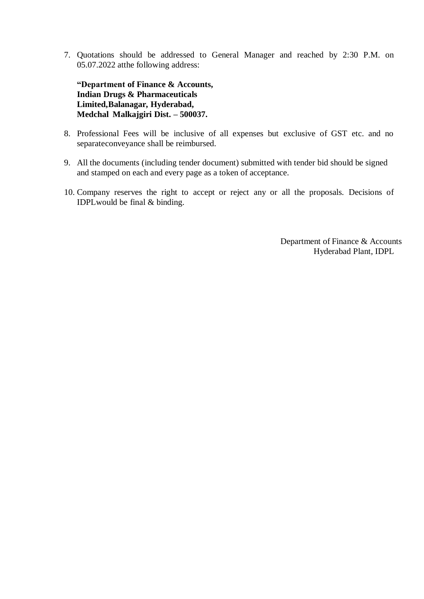7. Quotations should be addressed to General Manager and reached by 2:30 P.M. on 05.07.2022 atthe following address:

**"Department of Finance & Accounts, Indian Drugs & Pharmaceuticals Limited,Balanagar, Hyderabad, Medchal Malkajgiri Dist. – 500037.**

- 8. Professional Fees will be inclusive of all expenses but exclusive of GST etc. and no separateconveyance shall be reimbursed.
- 9. All the documents (including tender document) submitted with tender bid should be signed and stamped on each and every page as a token of acceptance.
- 10. Company reserves the right to accept or reject any or all the proposals. Decisions of IDPLwould be final & binding.

Department of Finance & Accounts Hyderabad Plant, IDPL